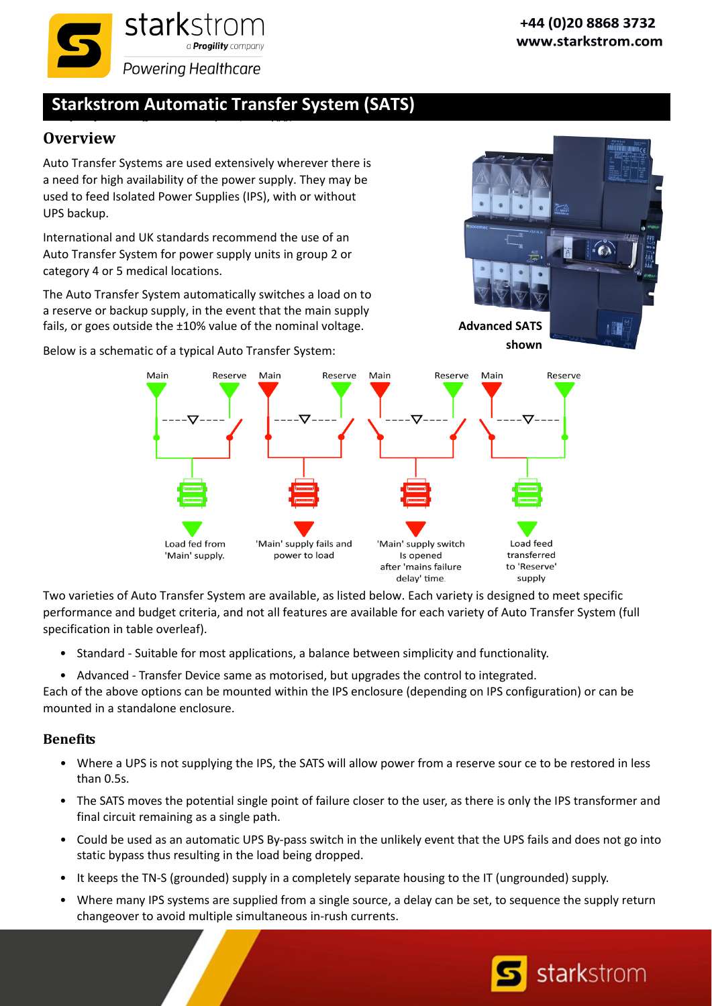

## **Starkstrom Automatic Transfer System (SATS)**

## **Overview**

Auto Transfer Systems are used extensively wherever there is a need for high availability of the power supply. They may be used to feed Isolated Power Supplies (IPS), with or without UPS backup.

International and UK standards recommend the use of an Auto Transfer System for power supply units in group 2 or category 4 or 5 medical locations.

The Auto Transfer System automatically switches a load on to a reserve or backup supply, in the event that the main supply fails, or goes outside the ±10% value of the nominal voltage.

Below is a schematic of a typical Auto Transfer System:



Main Reserve Main Reserve Main Reserve Main Reserve 'Main' supply fails and Load feed Load fed from 'Main' supply switch 'Main' supply. power to load Is opened transferred after 'mains failure to 'Reserve' delay' time. supply

Two varieties of Auto Transfer System are available, as listed below. Each variety is designed to meet specific performance and budget criteria, and not all features are available for each variety of Auto Transfer System (full specification in table overleaf).

- Standard Suitable for most applications, a balance between simplicity and functionality.
- Advanced Transfer Device same as motorised, but upgrades the control to integrated.

Each of the above options can be mounted within the IPS enclosure (depending on IPS configuration) or can be mounted in a standalone enclosure.

## **Benefits**

- Where a UPS is not supplying the IPS, the SATS will allow power from a reserve sour ce to be restored in less than 0.5s.
- The SATS moves the potential single point of failure closer to the user, as there is only the IPS transformer and final circuit remaining as a single path.
- Could be used as an automatic UPS By-pass switch in the unlikely event that the UPS fails and does not go into static bypass thus resulting in the load being dropped.
- It keeps the TN‐S (grounded) supply in a completely separate housing to the IT (ungrounded) supply.
- Where many IPS systems are supplied from a single source, a delay can be set, to sequence the supply return changeover to avoid multiple simultaneous in‐rush currents.